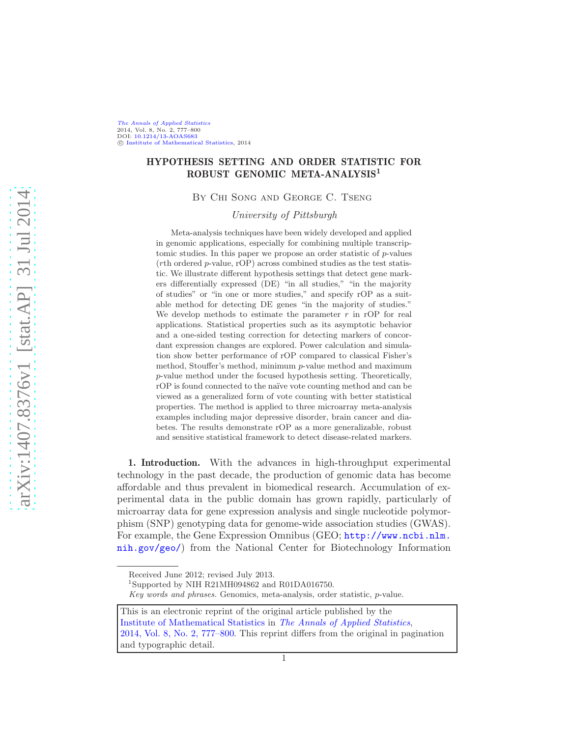[The Annals of Applied Statistics](http://www.imstat.org/aoas/) 2014, Vol. 8, No. 2, 777–800 DOI: [10.1214/13-AOAS683](http://dx.doi.org/10.1214/13-AOAS683) C [Institute of Mathematical Statistics,](http://www.imstat.org) 2014

# HYPOTHESIS SETTING AND ORDER STATISTIC FOR ROBUST GENOMIC META-ANALYSIS<sup>1</sup>

By Chi Song and George C. Tseng

University of Pittsburgh

Meta-analysis techniques have been widely developed and applied in genomic applications, especially for combining multiple transcriptomic studies. In this paper we propose an order statistic of p-values  $(rth \ ordered p-value, rOP)$  across combined studies as the test statistic. We illustrate different hypothesis settings that detect gene markers differentially expressed (DE) "in all studies," "in the majority of studies" or "in one or more studies," and specify rOP as a suitable method for detecting DE genes "in the majority of studies." We develop methods to estimate the parameter  $r$  in rOP for real applications. Statistical properties such as its asymptotic behavior and a one-sided testing correction for detecting markers of concordant expression changes are explored. Power calculation and simulation show better performance of rOP compared to classical Fisher's method, Stouffer's method, minimum p-value method and maximum p-value method under the focused hypothesis setting. Theoretically, rOP is found connected to the naïve vote counting method and can be viewed as a generalized form of vote counting with better statistical properties. The method is applied to three microarray meta-analysis examples including major depressive disorder, brain cancer and diabetes. The results demonstrate rOP as a more generalizable, robust and sensitive statistical framework to detect disease-related markers.

<span id="page-0-0"></span>1. Introduction. With the advances in high-throughput experimental technology in the past decade, the production of genomic data has become affordable and thus prevalent in biomedical research. Accumulation of experimental data in the public domain has grown rapidly, particularly of microarray data for gene expression analysis and single nucleotide polymorphism (SNP) genotyping data for genome-wide association studies (GWAS). For example, the Gene Expression Omnibus (GEO; [http://www.ncbi.nlm.](http://www.ncbi.nlm.nih.gov/geo/) [nih.gov/geo/](http://www.ncbi.nlm.nih.gov/geo/)) from the National Center for Biotechnology Information

1 Supported by NIH R21MH094862 and R01DA016750.

Key words and phrases. Genomics, meta-analysis, order statistic, p-value.

Received June 2012; revised July 2013.

This is an electronic reprint of the original article published by the [Institute of Mathematical Statistics](http://www.imstat.org) in [The Annals of Applied Statistics](http://www.imstat.org/aoas/), [2014, Vol. 8, No. 2, 777–800.](http://dx.doi.org/10.1214/13-AOAS683) This reprint differs from the original in pagination and typographic detail.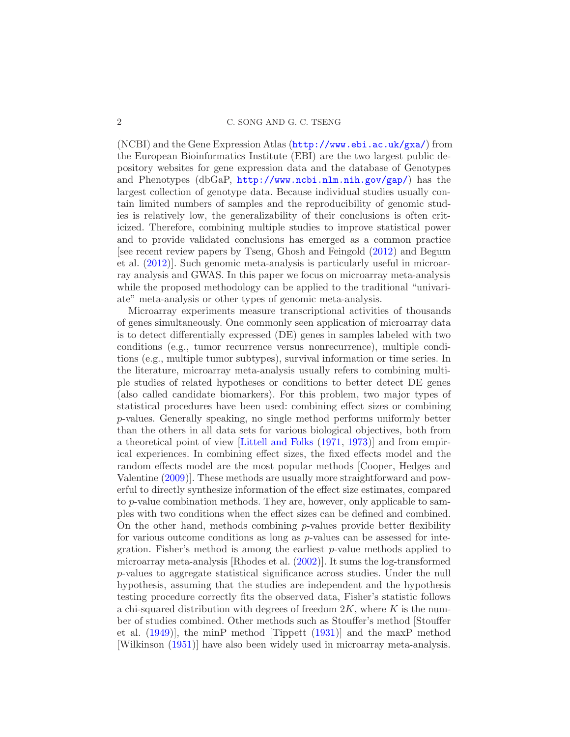## 2 C. SONG AND G. C. TSENG

 $(NCBI)$  and the Gene Expression Atlas  $(\text{http://www.ebi.ac.uk/gxa/})$  $(\text{http://www.ebi.ac.uk/gxa/})$  $(\text{http://www.ebi.ac.uk/gxa/})$  from the European Bioinformatics Institute (EBI) are the two largest public depository websites for gene expression data and the database of Genotypes and Phenotypes (dbGaP, <http://www.ncbi.nlm.nih.gov/gap/>) has the largest collection of genotype data. Because individual studies usually contain limited numbers of samples and the reproducibility of genomic studies is relatively low, the generalizability of their conclusions is often criticized. Therefore, combining multiple studies to improve statistical power and to provide validated conclusions has emerged as a common practice [see recent review papers by Tseng, Ghosh and Feingold [\(2012](#page-25-0)) and Begum et al. [\(2012](#page-23-0))]. Such genomic meta-analysis is particularly useful in microarray analysis and GWAS. In this paper we focus on microarray meta-analysis while the proposed methodology can be applied to the traditional "univariate" meta-analysis or other types of genomic meta-analysis.

Microarray experiments measure transcriptional activities of thousands of genes simultaneously. One commonly seen application of microarray data is to detect differentially expressed (DE) genes in samples labeled with two conditions (e.g., tumor recurrence versus nonrecurrence), multiple conditions (e.g., multiple tumor subtypes), survival information or time series. In the literature, microarray meta-analysis usually refers to combining multiple studies of related hypotheses or conditions to better detect DE genes (also called candidate biomarkers). For this problem, two major types of statistical procedures have been used: combining effect sizes or combining p-values. Generally speaking, no single method performs uniformly better than the others in all data sets for various biological objectives, both from a theoretical point of view [\[Littell and Folks](#page-24-0) [\(1971,](#page-24-0) [1973](#page-24-1))] and from empirical experiences. In combining effect sizes, the fixed effects model and the random effects model are the most popular methods [Cooper, Hedges and Valentine [\(2009](#page-23-1))]. These methods are usually more straightforward and powerful to directly synthesize information of the effect size estimates, compared to p-value combination methods. They are, however, only applicable to samples with two conditions when the effect sizes can be defined and combined. On the other hand, methods combining  $p$ -values provide better flexibility for various outcome conditions as long as p-values can be assessed for integration. Fisher's method is among the earliest  $p$ -value methods applied to microarray meta-analysis [Rhodes et al. [\(2002\)](#page-24-2)]. It sums the log-transformed p-values to aggregate statistical significance across studies. Under the null hypothesis, assuming that the studies are independent and the hypothesis testing procedure correctly fits the observed data, Fisher's statistic follows a chi-squared distribution with degrees of freedom  $2K$ , where K is the number of studies combined. Other methods such as Stouffer's method [Stouffer et al. [\(1949](#page-24-3))], the minP method [Tippett [\(1931](#page-25-1))] and the maxP method [Wilkinson [\(1951](#page-25-2))] have also been widely used in microarray meta-analysis.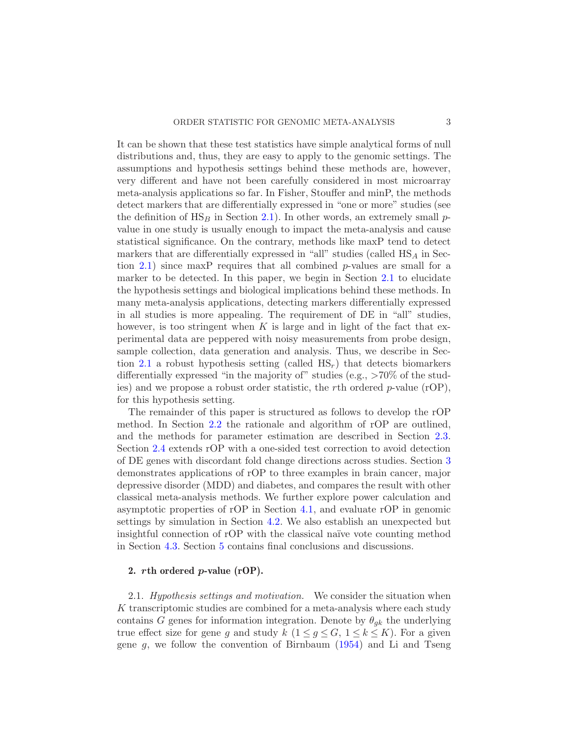It can be shown that these test statistics have simple analytical forms of null distributions and, thus, they are easy to apply to the genomic settings. The assumptions and hypothesis settings behind these methods are, however, very different and have not been carefully considered in most microarray meta-analysis applications so far. In Fisher, Stouffer and minP, the methods detect markers that are differentially expressed in "one or more" studies (see the definition of  $\text{HS}_B$  in Section [2.1\)](#page-2-0). In other words, an extremely small pvalue in one study is usually enough to impact the meta-analysis and cause statistical significance. On the contrary, methods like maxP tend to detect markers that are differentially expressed in "all" studies (called  $\text{HS}_A$  in Section [2.1\)](#page-2-0) since maxP requires that all combined p-values are small for a marker to be detected. In this paper, we begin in Section [2.1](#page-2-0) to elucidate the hypothesis settings and biological implications behind these methods. In many meta-analysis applications, detecting markers differentially expressed in all studies is more appealing. The requirement of DE in "all" studies, however, is too stringent when  $K$  is large and in light of the fact that experimental data are peppered with noisy measurements from probe design, sample collection, data generation and analysis. Thus, we describe in Sec-tion [2.1](#page-2-0) a robust hypothesis setting (called  $\text{HS}_r$ ) that detects biomarkers differentially expressed "in the majority of" studies (e.g., >70% of the studies) and we propose a robust order statistic, the rth ordered  $p$ -value (rOP), for this hypothesis setting.

The remainder of this paper is structured as follows to develop the rOP method. In Section [2.2](#page-5-0) the rationale and algorithm of rOP are outlined, and the methods for parameter estimation are described in Section [2.3.](#page-6-0) Section [2.4](#page-10-0) extends rOP with a one-sided test correction to avoid detection of DE genes with discordant fold change directions across studies. Section [3](#page-10-1) demonstrates applications of rOP to three examples in brain cancer, major depressive disorder (MDD) and diabetes, and compares the result with other classical meta-analysis methods. We further explore power calculation and asymptotic properties of rOP in Section [4.1,](#page-15-0) and evaluate rOP in genomic settings by simulation in Section [4.2.](#page-17-0) We also establish an unexpected but insightful connection of rOP with the classical na¨ıve vote counting method in Section [4.3.](#page-20-0) Section [5](#page-21-0) contains final conclusions and discussions.

### 2. rth ordered p-value (rOP).

<span id="page-2-0"></span>2.1. Hypothesis settings and motivation. We consider the situation when K transcriptomic studies are combined for a meta-analysis where each study contains G genes for information integration. Denote by  $\theta_{qk}$  the underlying true effect size for gene g and study  $k$   $(1 \leq g \leq G, 1 \leq k \leq K)$ . For a given gene  $g$ , we follow the convention of Birnbaum [\(1954\)](#page-23-2) and Li and Tseng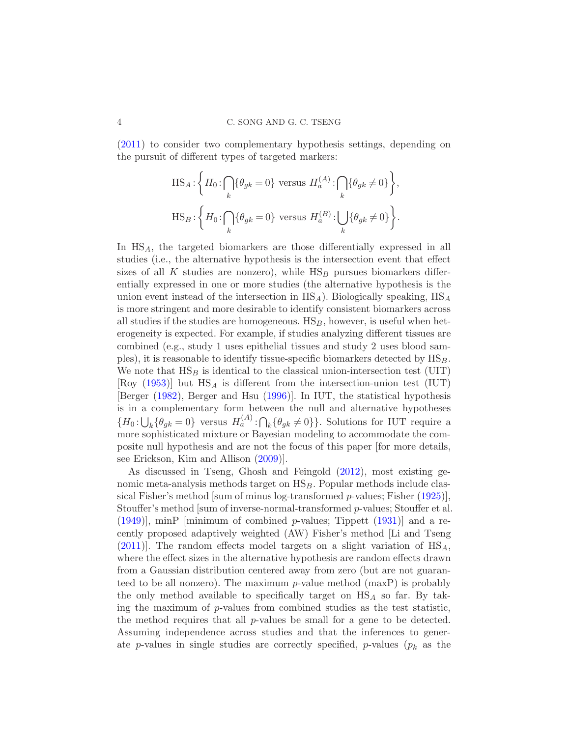[\(2011\)](#page-24-4) to consider two complementary hypothesis settings, depending on the pursuit of different types of targeted markers:

$$
\begin{aligned} \text{HS}_A: \bigg\{ &H_0: \bigcap_k \{ \theta_{gk} = 0 \} \text{ versus } H_a^{(A)}: \bigcap_k \{ \theta_{gk} \neq 0 \} \bigg\}, \\ \text{HS}_B: \bigg\{ &H_0: \bigcap_k \{ \theta_{gk} = 0 \} \text{ versus } H_a^{(B)}: \bigcup_k \{ \theta_{gk} \neq 0 \} \bigg\}. \end{aligned}
$$

In HS<sub>A</sub>, the targeted biomarkers are those differentially expressed in all studies (i.e., the alternative hypothesis is the intersection event that effect sizes of all K studies are nonzero), while  $\text{HS}_B$  pursues biomarkers differentially expressed in one or more studies (the alternative hypothesis is the union event instead of the intersection in  $HS<sub>A</sub>$ ). Biologically speaking,  $HS<sub>A</sub>$ is more stringent and more desirable to identify consistent biomarkers across all studies if the studies are homogeneous.  $\text{HS}_B$ , however, is useful when heterogeneity is expected. For example, if studies analyzing different tissues are combined (e.g., study 1 uses epithelial tissues and study 2 uses blood samples), it is reasonable to identify tissue-specific biomarkers detected by  $\text{HS}_B$ . We note that  $\text{HS}_B$  is identical to the classical union-intersection test (UIT) [Roy  $(1953)$ ] but  $\text{HS}_A$  is different from the intersection-union test (IUT) [Berger [\(1982](#page-23-3)), Berger and Hsu [\(1996](#page-23-4))]. In IUT, the statistical hypothesis is in a complementary form between the null and alternative hypotheses  ${H_0: \bigcup_k {\theta_{gk} = 0}}$  versus  $H_a^{(A)}: \bigcap_k {\theta_{gk} \neq 0}$ . Solutions for IUT require a more sophisticated mixture or Bayesian modeling to accommodate the composite null hypothesis and are not the focus of this paper [for more details, see Erickson, Kim and Allison [\(2009](#page-24-6))].

As discussed in Tseng, Ghosh and Feingold [\(2012](#page-25-0)), most existing genomic meta-analysis methods target on  $H\mathcal{S}_B$ . Popular methods include classical Fisher's method [sum of minus log-transformed p-values; Fisher [\(1925](#page-24-7))], Stouffer's method [sum of inverse-normal-transformed p-values; Stouffer et al.  $(1949)$ , minP [minimum of combined p-values; Tippett  $(1931)$ ] and a recently proposed adaptively weighted (AW) Fisher's method [Li and Tseng  $(2011)$ . The random effects model targets on a slight variation of HS<sub>A</sub>, where the effect sizes in the alternative hypothesis are random effects drawn from a Gaussian distribution centered away from zero (but are not guaranteed to be all nonzero). The maximum  $p$ -value method  $(\text{maxP})$  is probably the only method available to specifically target on  $\text{HS}_A$  so far. By taking the maximum of p-values from combined studies as the test statistic, the method requires that all  $p$ -values be small for a gene to be detected. Assuming independence across studies and that the inferences to generate p-values in single studies are correctly specified, p-values ( $p_k$  as the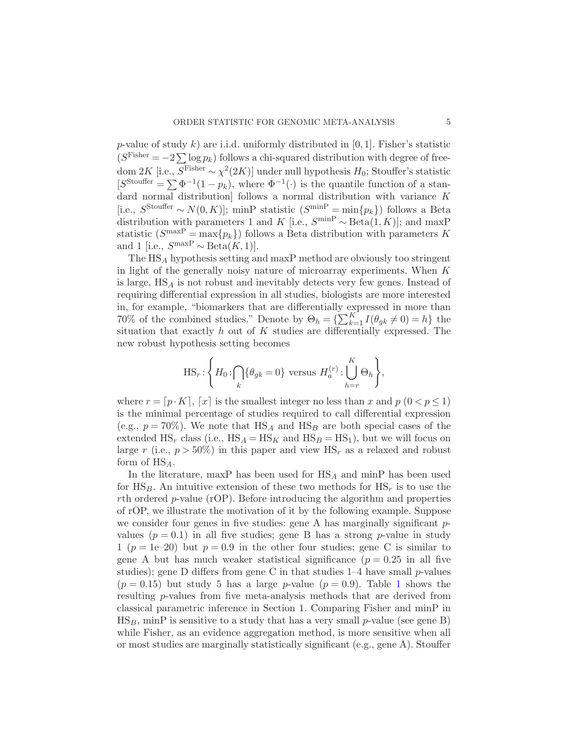p-value of study k) are i.i.d. uniformly distributed in  $[0, 1]$ . Fisher's statistic  $(S^{\text{Fisher}} = -2 \sum \log p_k)$  follows a chi-squared distribution with degree of freedom  $2K$  [i.e.,  $S^{\text{Fisher}} \sim \chi^2(2K)$ ] under null hypothesis  $H_0$ ; Stouffer's statistic  $[S^{\text{Stouffer}}] = \sum \Phi^{-1}(1-p_k)$ , where  $\Phi^{-1}(\cdot)$  is the quantile function of a standard normal distribution] follows a normal distribution with variance K [i.e.,  $S^{\text{Stouffer}} \sim N(0, K)$ ]; minP statistic  $(S^{\min P} = \min\{p_k\})$  follows a Beta distribution with parameters 1 and K [i.e.,  $S^{\text{minP}} \sim \text{Beta}(1, K)$ ]; and maxP statistic  $(S^{\max P} = \max\{p_k\})$  follows a Beta distribution with parameters K and 1 [i.e.,  $S^{\text{maxP}} \sim \text{Beta}(K, 1)$ ].

The  $\text{HS}_A$  hypothesis setting and maxP method are obviously too stringent in light of the generally noisy nature of microarray experiments. When K is large,  $\text{HS}_A$  is not robust and inevitably detects very few genes. Instead of requiring differential expression in all studies, biologists are more interested in, for example, "biomarkers that are differentially expressed in more than 70% of the combined studies." Denote by  $\Theta_h = \{\sum_{k=1}^{K^-} I(\theta_{gk} \neq 0) = h\}$  the situation that exactly  $h$  out of  $K$  studies are differentially expressed. The new robust hypothesis setting becomes

$$
\label{eq:HS_r} \text{HS}_r : \left\{ H_0 \negthinspace : \bigcap_k \{ \theta_{gk} = 0 \} \text{ versus } H_a^{(r)} : \bigcup_{h=r}^K \Theta_h \right\},
$$

where  $r = [p \cdot K]$ ,  $[x]$  is the smallest integer no less than x and  $p (0 < p \le 1)$ is the minimal percentage of studies required to call differential expression (e.g.,  $p = 70\%$ ). We note that  $\text{HS}_A$  and  $\text{HS}_B$  are both special cases of the extended  $\text{HS}_r$  class (i.e.,  $\text{HS}_A = \text{HS}_K$  and  $\text{HS}_B = \text{HS}_1$ ), but we will focus on large r (i.e.,  $p > 50\%$ ) in this paper and view  $\text{HS}_r$  as a relaxed and robust form of  $HS_A$ .

In the literature, maxP has been used for  $\text{HS}_A$  and minP has been used for HS<sub>B</sub>. An intuitive extension of these two methods for  $\text{HS}_r$  is to use the rth ordered p-value (rOP). Before introducing the algorithm and properties of rOP, we illustrate the motivation of it by the following example. Suppose we consider four genes in five studies: gene A has marginally significant  $p$ values  $(p = 0.1)$  in all five studies; gene B has a strong p-value in study 1 ( $p = 1e-20$ ) but  $p = 0.9$  in the other four studies; gene C is similar to gene A but has much weaker statistical significance  $(p = 0.25$  in all five studies); gene D differs from gene C in that studies  $1-4$  have small p-values  $(p = 0.15)$  $(p = 0.15)$  $(p = 0.15)$  but study 5 has a large p-value  $(p = 0.9)$ . Table 1 shows the resulting p-values from five meta-analysis methods that are derived from classical parametric inference in Section [1.](#page-0-0) Comparing Fisher and minP in  $\text{HS}_B$ , minP is sensitive to a study that has a very small p-value (see gene B) while Fisher, as an evidence aggregation method, is more sensitive when all or most studies are marginally statistically significant (e.g., gene A). Stouffer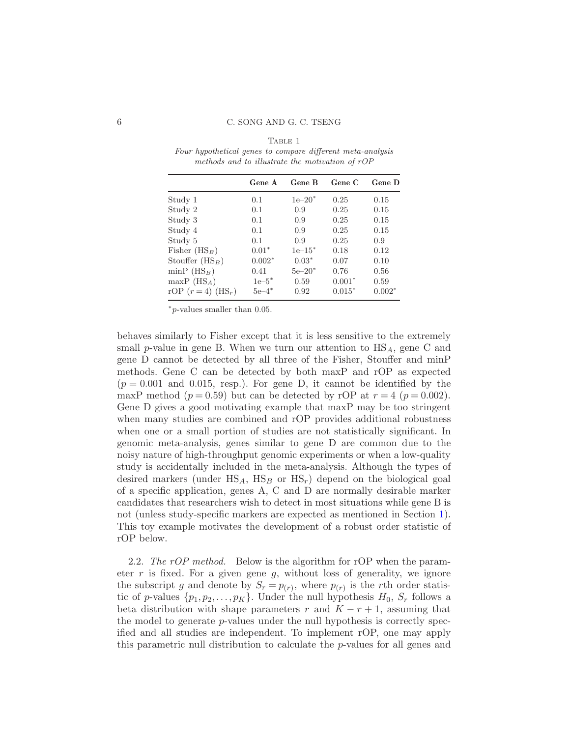| Gene A              | <b>Gene B</b>        | Gene C   | Gene D   |
|---------------------|----------------------|----------|----------|
| 0.1                 | $1e-20$ <sup>*</sup> | 0.25     | 0.15     |
| 0.1                 | 0.9                  | 0.25     | 0.15     |
| 0.1                 | 0.9                  | 0.25     | 0.15     |
| 0.1                 | 0.9                  | 0.25     | 0.15     |
| 0.1                 | 0.9                  | 0.25     | 0.9      |
| $0.01*$             | $1e-15$ <sup>*</sup> | 0.18     | 0.12     |
| $0.002*$            | $0.03*$              | 0.07     | 0.10     |
| 0.41                | $5e-20$ <sup>*</sup> | 0.76     | 0.56     |
| $1e-5$ <sup>*</sup> | 0.59                 | $0.001*$ | 0.59     |
| $5e-4$ *            | 0.92                 | $0.015*$ | $0.002*$ |
|                     |                      |          |          |

<span id="page-5-1"></span>TABLE 1 Four hypothetical genes to compare different meta-analysis methods and to illustrate the motivation of rOP

∗ p-values smaller than 0.05.

behaves similarly to Fisher except that it is less sensitive to the extremely small p-value in gene B. When we turn our attention to  $\text{HS}_A$ , gene C and gene D cannot be detected by all three of the Fisher, Stouffer and minP methods. Gene C can be detected by both maxP and rOP as expected  $(p = 0.001$  and 0.015, resp.). For gene D, it cannot be identified by the maxP method ( $p = 0.59$ ) but can be detected by rOP at  $r = 4$  ( $p = 0.002$ ). Gene D gives a good motivating example that maxP may be too stringent when many studies are combined and rOP provides additional robustness when one or a small portion of studies are not statistically significant. In genomic meta-analysis, genes similar to gene D are common due to the noisy nature of high-throughput genomic experiments or when a low-quality study is accidentally included in the meta-analysis. Although the types of desired markers (under  $\text{HS}_A$ ,  $\text{HS}_B$  or  $\text{HS}_r$ ) depend on the biological goal of a specific application, genes A, C and D are normally desirable marker candidates that researchers wish to detect in most situations while gene B is not (unless study-specific markers are expected as mentioned in Section [1\)](#page-0-0). This toy example motivates the development of a robust order statistic of rOP below.

<span id="page-5-0"></span>2.2. The rOP method. Below is the algorithm for rOP when the parameter  $r$  is fixed. For a given gene  $g$ , without loss of generality, we ignore the subscript g and denote by  $S_r = p(r)$ , where  $p(r)$  is the rth order statistic of p-values  $\{p_1, p_2, \ldots, p_K\}$ . Under the null hypothesis  $H_0$ ,  $S_r$  follows a beta distribution with shape parameters r and  $K - r + 1$ , assuming that the model to generate  $p$ -values under the null hypothesis is correctly specified and all studies are independent. To implement rOP, one may apply this parametric null distribution to calculate the p-values for all genes and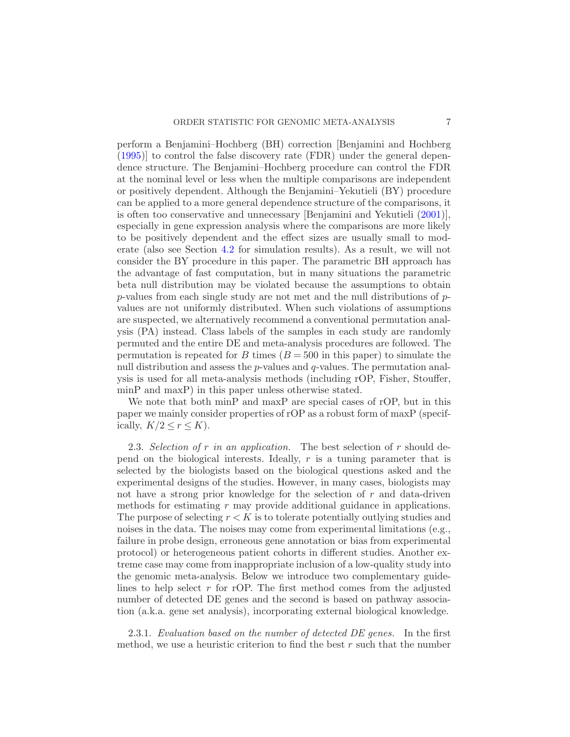perform a Benjamini–Hochberg (BH) correction [Benjamini and Hochberg [\(1995\)](#page-23-5)] to control the false discovery rate (FDR) under the general dependence structure. The Benjamini–Hochberg procedure can control the FDR at the nominal level or less when the multiple comparisons are independent or positively dependent. Although the Benjamini–Yekutieli (BY) procedure can be applied to a more general dependence structure of the comparisons, it is often too conservative and unnecessary [Benjamini and Yekutieli [\(2001](#page-23-6))], especially in gene expression analysis where the comparisons are more likely to be positively dependent and the effect sizes are usually small to moderate (also see Section [4.2](#page-17-0) for simulation results). As a result, we will not consider the BY procedure in this paper. The parametric BH approach has the advantage of fast computation, but in many situations the parametric beta null distribution may be violated because the assumptions to obtain  $p$ -values from each single study are not met and the null distributions of  $p$ values are not uniformly distributed. When such violations of assumptions are suspected, we alternatively recommend a conventional permutation analysis (PA) instead. Class labels of the samples in each study are randomly permuted and the entire DE and meta-analysis procedures are followed. The permutation is repeated for B times ( $B = 500$  in this paper) to simulate the null distribution and assess the  $p$ -values and  $q$ -values. The permutation analysis is used for all meta-analysis methods (including rOP, Fisher, Stouffer, minP and maxP) in this paper unless otherwise stated.

We note that both minP and maxP are special cases of rOP, but in this paper we mainly consider properties of rOP as a robust form of maxP (specifically,  $K/2 \leq r \leq K$ ).

<span id="page-6-0"></span>2.3. Selection of r in an application. The best selection of r should depend on the biological interests. Ideally, r is a tuning parameter that is selected by the biologists based on the biological questions asked and the experimental designs of the studies. However, in many cases, biologists may not have a strong prior knowledge for the selection of  $r$  and data-driven methods for estimating  $r$  may provide additional guidance in applications. The purpose of selecting  $r < K$  is to tolerate potentially outlying studies and noises in the data. The noises may come from experimental limitations (e.g., failure in probe design, erroneous gene annotation or bias from experimental protocol) or heterogeneous patient cohorts in different studies. Another extreme case may come from inappropriate inclusion of a low-quality study into the genomic meta-analysis. Below we introduce two complementary guidelines to help select  $r$  for rOP. The first method comes from the adjusted number of detected DE genes and the second is based on pathway association (a.k.a. gene set analysis), incorporating external biological knowledge.

<span id="page-6-1"></span>2.3.1. Evaluation based on the number of detected DE genes. In the first method, we use a heuristic criterion to find the best  $r$  such that the number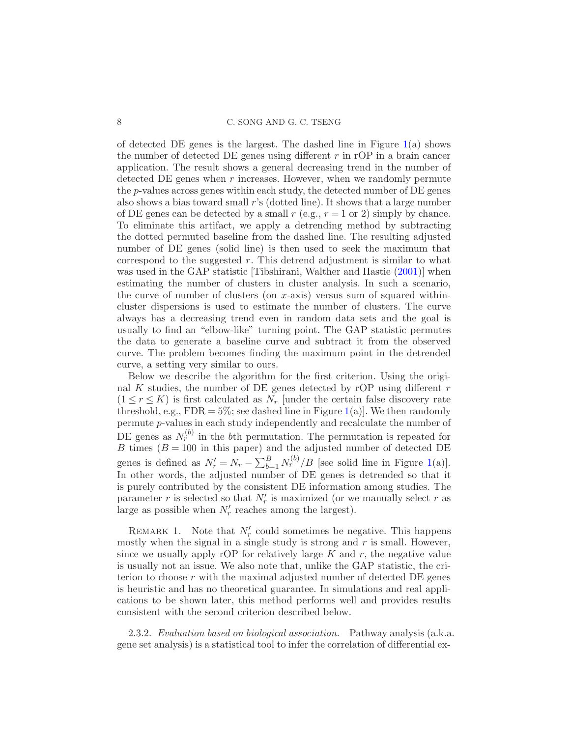#### 8 C. SONG AND G. C. TSENG

of detected DE genes is the largest. The dashed line in Figure  $1(a)$  $1(a)$  shows the number of detected DE genes using different  $r$  in rOP in a brain cancer application. The result shows a general decreasing trend in the number of detected DE genes when  $r$  increases. However, when we randomly permute the p-values across genes within each study, the detected number of DE genes also shows a bias toward small r's (dotted line). It shows that a large number of DE genes can be detected by a small  $r$  (e.g.,  $r = 1$  or 2) simply by chance. To eliminate this artifact, we apply a detrending method by subtracting the dotted permuted baseline from the dashed line. The resulting adjusted number of DE genes (solid line) is then used to seek the maximum that correspond to the suggested  $r$ . This detrend adjustment is similar to what was used in the GAP statistic [Tibshirani, Walther and Hastie [\(2001](#page-24-8))] when estimating the number of clusters in cluster analysis. In such a scenario, the curve of number of clusters (on x-axis) versus sum of squared withincluster dispersions is used to estimate the number of clusters. The curve always has a decreasing trend even in random data sets and the goal is usually to find an "elbow-like" turning point. The GAP statistic permutes the data to generate a baseline curve and subtract it from the observed curve. The problem becomes finding the maximum point in the detrended curve, a setting very similar to ours.

Below we describe the algorithm for the first criterion. Using the original K studies, the number of DE genes detected by rOP using different  $r$  $(1 \leq r \leq K)$  is first calculated as  $N_r$  [under the certain false discovery rate threshold, e.g.,  $FDR = 5\%$ ; see dashed line in Figure [1\(](#page-8-0)a). We then randomly permute p-values in each study independently and recalculate the number of DE genes as  $N_r^{(b)}$  in the bth permutation. The permutation is repeated for B times ( $B = 100$  in this paper) and the adjusted number of detected DE genes is defined as  $N'_r = N_r - \sum_{b=1}^B N_r^{(b)}/B$  [see solid line in Figure [1\(](#page-8-0)a)]. In other words, the adjusted number of DE genes is detrended so that it is purely contributed by the consistent DE information among studies. The parameter r is selected so that  $N'_r$  is maximized (or we manually select r as large as possible when  $N'_r$  reaches among the largest).

REMARK 1. Note that  $N'_r$  could sometimes be negative. This happens mostly when the signal in a single study is strong and  $r$  is small. However, since we usually apply rOP for relatively large  $K$  and  $r$ , the negative value is usually not an issue. We also note that, unlike the GAP statistic, the criterion to choose  $r$  with the maximal adjusted number of detected DE genes is heuristic and has no theoretical guarantee. In simulations and real applications to be shown later, this method performs well and provides results consistent with the second criterion described below.

2.3.2. Evaluation based on biological association. Pathway analysis (a.k.a. gene set analysis) is a statistical tool to infer the correlation of differential ex-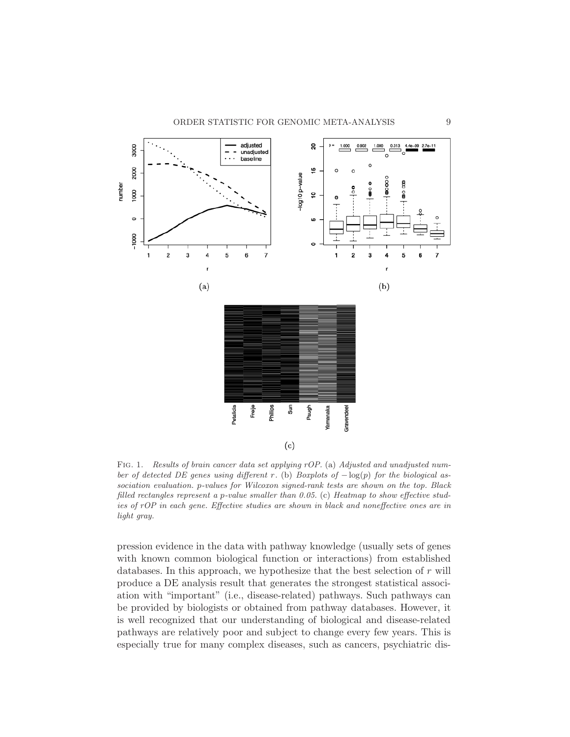

<span id="page-8-0"></span>Fig. 1. Results of brain cancer data set applying rOP. (a) Adjusted and unadjusted number of detected DE genes using different r. (b) Boxplots of  $-\log(p)$  for the biological association evaluation. p-values for Wilcoxon signed-rank tests are shown on the top. Black filled rectangles represent a p-value smaller than 0.05. (c) Heatmap to show effective studies of rOP in each gene. Effective studies are shown in black and noneffective ones are in light gray.

pression evidence in the data with pathway knowledge (usually sets of genes with known common biological function or interactions) from established databases. In this approach, we hypothesize that the best selection of  $r$  will produce a DE analysis result that generates the strongest statistical association with "important" (i.e., disease-related) pathways. Such pathways can be provided by biologists or obtained from pathway databases. However, it is well recognized that our understanding of biological and disease-related pathways are relatively poor and subject to change every few years. This is especially true for many complex diseases, such as cancers, psychiatric dis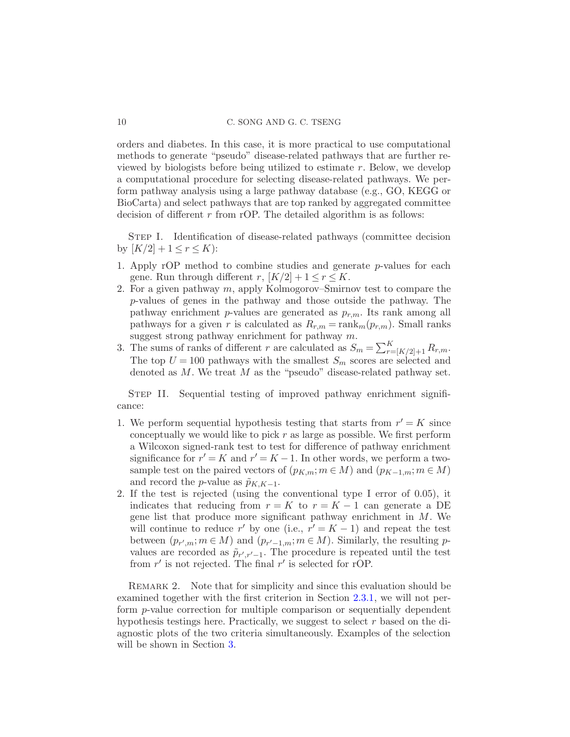orders and diabetes. In this case, it is more practical to use computational methods to generate "pseudo" disease-related pathways that are further reviewed by biologists before being utilized to estimate  $r$ . Below, we develop a computational procedure for selecting disease-related pathways. We perform pathway analysis using a large pathway database (e.g., GO, KEGG or BioCarta) and select pathways that are top ranked by aggregated committee decision of different  $r$  from rOP. The detailed algorithm is as follows:

Step I. Identification of disease-related pathways (committee decision by  $|K/2| + 1 \leq r \leq K$ :

- 1. Apply rOP method to combine studies and generate p-values for each gene. Run through different r,  $[K/2] + 1 \leq r \leq K$ .
- 2. For a given pathway  $m$ , apply Kolmogorov–Smirnov test to compare the p-values of genes in the pathway and those outside the pathway. The pathway enrichment p-values are generated as  $p_{r,m}$ . Its rank among all pathways for a given r is calculated as  $R_{r,m} = \text{rank}_{m}(p_{r,m})$ . Small ranks suggest strong pathway enrichment for pathway m.
- 3. The sums of ranks of different r are calculated as  $S_m = \sum_{r=|K/2|+1}^{K} R_{r,m}$ . The top  $U = 100$  pathways with the smallest  $S_m$  scores are selected and denoted as  $M$ . We treat  $M$  as the "pseudo" disease-related pathway set.

STEP II. Sequential testing of improved pathway enrichment significance:

- 1. We perform sequential hypothesis testing that starts from  $r' = K$  since conceptually we would like to pick  $r$  as large as possible. We first perform a Wilcoxon signed-rank test to test for difference of pathway enrichment significance for  $r' = K$  and  $r' = K - 1$ . In other words, we perform a twosample test on the paired vectors of  $(p_{K,m}; m \in M)$  and  $(p_{K-1,m}; m \in M)$ and record the *p*-value as  $\tilde{p}_{K,K-1}$ .
- 2. If the test is rejected (using the conventional type I error of 0.05), it indicates that reducing from  $r = K$  to  $r = K - 1$  can generate a DE gene list that produce more significant pathway enrichment in M. We will continue to reduce r' by one (i.e.,  $r' = K - 1$ ) and repeat the test between  $(p_{r',m}; m \in M)$  and  $(p_{r'-1,m}; m \in M)$ . Similarly, the resulting pvalues are recorded as  $\tilde{p}_{r',r'-1}$ . The procedure is repeated until the test from  $r'$  is not rejected. The final  $r'$  is selected for rOP.

REMARK 2. Note that for simplicity and since this evaluation should be examined together with the first criterion in Section [2.3.1,](#page-6-1) we will not perform p-value correction for multiple comparison or sequentially dependent hypothesis testings here. Practically, we suggest to select  $r$  based on the diagnostic plots of the two criteria simultaneously. Examples of the selection will be shown in Section [3.](#page-10-1)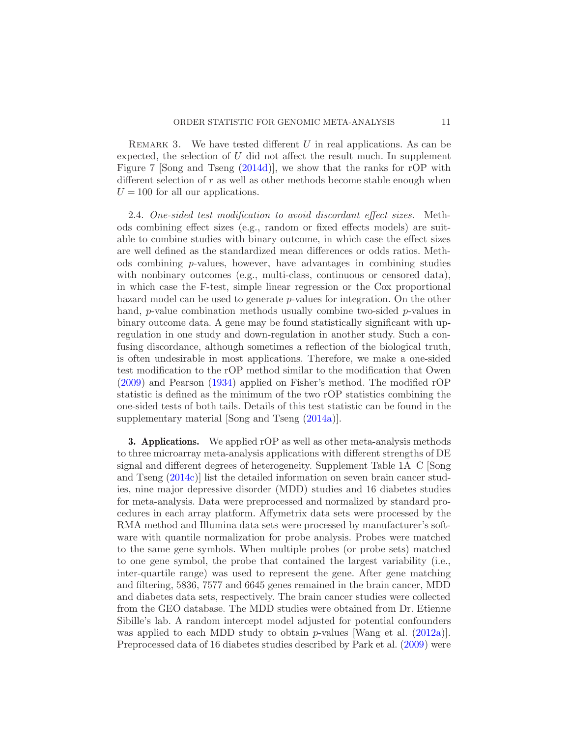REMARK 3. We have tested different  $U$  in real applications. As can be expected, the selection of  $U$  did not affect the result much. In supplement Figure 7 [Song and Tseng [\(2014d](#page-24-9))], we show that the ranks for rOP with different selection of  $r$  as well as other methods become stable enough when  $U = 100$  for all our applications.

<span id="page-10-0"></span>2.4. One-sided test modification to avoid discordant effect sizes. Methods combining effect sizes (e.g., random or fixed effects models) are suitable to combine studies with binary outcome, in which case the effect sizes are well defined as the standardized mean differences or odds ratios. Methods combining p-values, however, have advantages in combining studies with nonbinary outcomes (e.g., multi-class, continuous or censored data), in which case the F-test, simple linear regression or the Cox proportional hazard model can be used to generate p-values for integration. On the other hand, *p*-value combination methods usually combine two-sided *p*-values in binary outcome data. A gene may be found statistically significant with upregulation in one study and down-regulation in another study. Such a confusing discordance, although sometimes a reflection of the biological truth, is often undesirable in most applications. Therefore, we make a one-sided test modification to the rOP method similar to the modification that Owen [\(2009\)](#page-24-10) and Pearson [\(1934](#page-24-11)) applied on Fisher's method. The modified rOP statistic is defined as the minimum of the two rOP statistics combining the one-sided tests of both tails. Details of this test statistic can be found in the supplementary material [Song and Tseng [\(2014a\)](#page-24-12)].

<span id="page-10-1"></span>3. Applications. We applied rOP as well as other meta-analysis methods to three microarray meta-analysis applications with different strengths of DE signal and different degrees of heterogeneity. Supplement Table 1A–C [Song and Tseng [\(2014c](#page-24-13))] list the detailed information on seven brain cancer studies, nine major depressive disorder (MDD) studies and 16 diabetes studies for meta-analysis. Data were preprocessed and normalized by standard procedures in each array platform. Affymetrix data sets were processed by the RMA method and Illumina data sets were processed by manufacturer's software with quantile normalization for probe analysis. Probes were matched to the same gene symbols. When multiple probes (or probe sets) matched to one gene symbol, the probe that contained the largest variability (i.e., inter-quartile range) was used to represent the gene. After gene matching and filtering, 5836, 7577 and 6645 genes remained in the brain cancer, MDD and diabetes data sets, respectively. The brain cancer studies were collected from the GEO database. The MDD studies were obtained from Dr. Etienne Sibille's lab. A random intercept model adjusted for potential confounders was applied to each MDD study to obtain  $p$ -values [Wang et al. [\(2012a](#page-25-3))]. Preprocessed data of 16 diabetes studies described by Park et al. [\(2009](#page-24-14)) were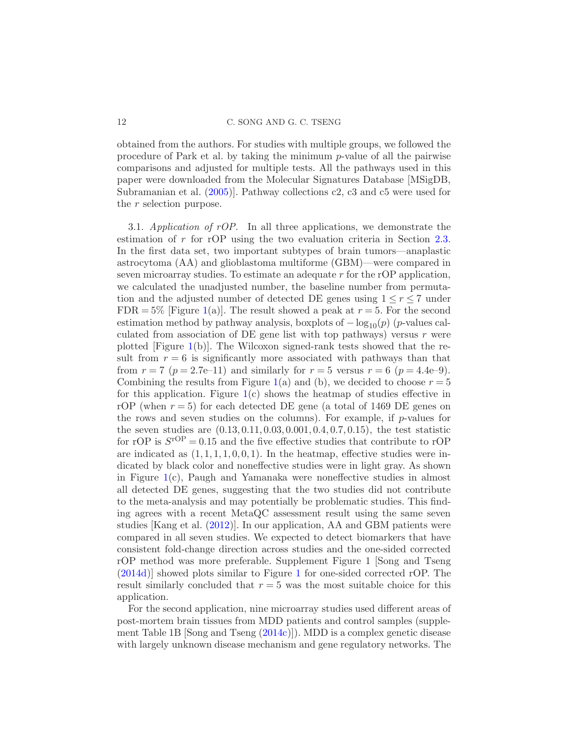obtained from the authors. For studies with multiple groups, we followed the procedure of Park et al. by taking the minimum  $p$ -value of all the pairwise comparisons and adjusted for multiple tests. All the pathways used in this paper were downloaded from the Molecular Signatures Database [MSigDB, Subramanian et al. [\(2005\)](#page-24-15)]. Pathway collections c2, c3 and c5 were used for the r selection purpose.

<span id="page-11-0"></span>3.1. Application of rOP. In all three applications, we demonstrate the estimation of r for rOP using the two evaluation criteria in Section [2.3.](#page-6-0) In the first data set, two important subtypes of brain tumors—anaplastic astrocytoma (AA) and glioblastoma multiforme (GBM)—were compared in seven microarray studies. To estimate an adequate r for the rOP application, we calculated the unadjusted number, the baseline number from permutation and the adjusted number of detected DE genes using  $1 \leq r \leq 7$  under FDR = 5% [Figure [1\(](#page-8-0)a)]. The result showed a peak at  $r = 5$ . For the second estimation method by pathway analysis, boxplots of  $-\log_{10}(p)$  (p-values calculated from association of DE gene list with top pathways) versus  $r$  were plotted [Figure [1\(](#page-8-0)b)]. The Wilcoxon signed-rank tests showed that the result from  $r = 6$  is significantly more associated with pathways than that from  $r = 7$  ( $p = 2.7e-11$ ) and similarly for  $r = 5$  versus  $r = 6$  ( $p = 4.4e-9$ ). Combining the results from Figure [1\(](#page-8-0)a) and (b), we decided to choose  $r = 5$ for this application. Figure  $1(c)$  $1(c)$  shows the heatmap of studies effective in rOP (when  $r = 5$ ) for each detected DE gene (a total of 1469 DE genes on the rows and seven studies on the columns). For example, if  $p$ -values for the seven studies are (0.13, 0.11, 0.03, 0.001, 0.4, 0.7, 0.15), the test statistic for rOP is  $S^{\text{rOP}} = 0.15$  and the five effective studies that contribute to rOP are indicated as  $(1, 1, 1, 1, 0, 0, 1)$ . In the heatmap, effective studies were indicated by black color and noneffective studies were in light gray. As shown in Figure [1\(](#page-8-0)c), Paugh and Yamanaka were noneffective studies in almost all detected DE genes, suggesting that the two studies did not contribute to the meta-analysis and may potentially be problematic studies. This finding agrees with a recent MetaQC assessment result using the same seven studies [Kang et al. [\(2012\)](#page-24-16)]. In our application, AA and GBM patients were compared in all seven studies. We expected to detect biomarkers that have consistent fold-change direction across studies and the one-sided corrected rOP method was more preferable. Supplement Figure 1 [Song and Tseng [\(2014d\)](#page-24-9)] showed plots similar to Figure [1](#page-8-0) for one-sided corrected rOP. The result similarly concluded that  $r = 5$  was the most suitable choice for this application.

For the second application, nine microarray studies used different areas of post-mortem brain tissues from MDD patients and control samples (supplement Table 1B [Song and Tseng [\(2014c\)](#page-24-13)]). MDD is a complex genetic disease with largely unknown disease mechanism and gene regulatory networks. The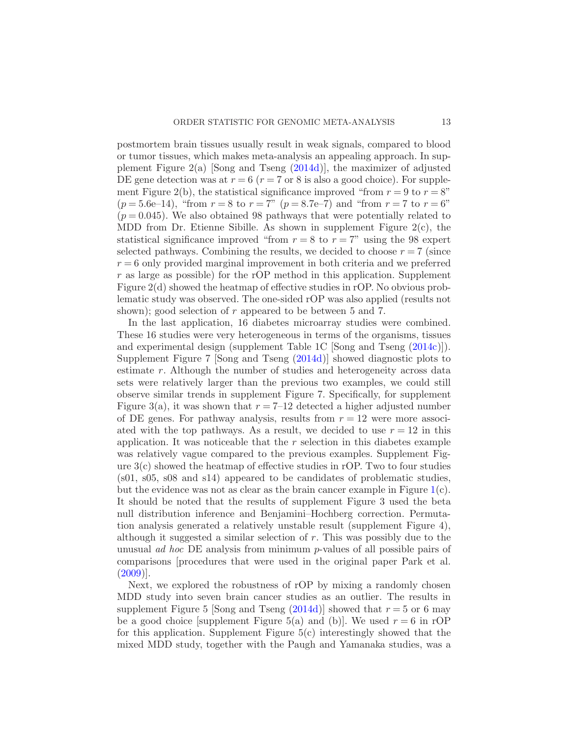postmortem brain tissues usually result in weak signals, compared to blood or tumor tissues, which makes meta-analysis an appealing approach. In supplement Figure 2(a) [Song and Tseng [\(2014d](#page-24-9))], the maximizer of adjusted DE gene detection was at  $r = 6$  ( $r = 7$  or 8 is also a good choice). For supplement Figure 2(b), the statistical significance improved "from  $r = 9$  to  $r = 8$ "  $(p=5.6e-14)$ , "from  $r=8$  to  $r=7$ "  $(p=8.7e-7)$  and "from  $r=7$  to  $r=6$ "  $(p = 0.045)$ . We also obtained 98 pathways that were potentially related to MDD from Dr. Etienne Sibille. As shown in supplement Figure  $2(c)$ , the statistical significance improved "from  $r = 8$  to  $r = 7$ " using the 98 expert selected pathways. Combining the results, we decided to choose  $r = 7$  (since  $r = 6$  only provided marginal improvement in both criteria and we preferred  $r$  as large as possible) for the rOP method in this application. Supplement Figure 2(d) showed the heatmap of effective studies in rOP. No obvious problematic study was observed. The one-sided rOP was also applied (results not shown); good selection of r appeared to be between 5 and 7.

In the last application, 16 diabetes microarray studies were combined. These 16 studies were very heterogeneous in terms of the organisms, tissues and experimental design (supplement Table 1C [Song and Tseng [\(2014c\)](#page-24-13)]). Supplement Figure 7 [Song and Tseng [\(2014d](#page-24-9))] showed diagnostic plots to estimate r. Although the number of studies and heterogeneity across data sets were relatively larger than the previous two examples, we could still observe similar trends in supplement Figure 7. Specifically, for supplement Figure 3(a), it was shown that  $r = 7-12$  detected a higher adjusted number of DE genes. For pathway analysis, results from  $r = 12$  were more associated with the top pathways. As a result, we decided to use  $r = 12$  in this application. It was noticeable that the  $r$  selection in this diabetes example was relatively vague compared to the previous examples. Supplement Figure  $3(c)$  showed the heatmap of effective studies in rOP. Two to four studies (s01, s05, s08 and s14) appeared to be candidates of problematic studies, but the evidence was not as clear as the brain cancer example in Figure  $1(c)$  $1(c)$ . It should be noted that the results of supplement Figure 3 used the beta null distribution inference and Benjamini–Hochberg correction. Permutation analysis generated a relatively unstable result (supplement Figure 4), although it suggested a similar selection of r. This was possibly due to the unusual *ad hoc* DE analysis from minimum  $p$ -values of all possible pairs of comparisons [procedures that were used in the original paper Park et al.  $(2009)$ ].

Next, we explored the robustness of rOP by mixing a randomly chosen MDD study into seven brain cancer studies as an outlier. The results in supplement Figure 5 [Song and Tseng  $(2014d)$ ] showed that  $r = 5$  or 6 may be a good choice [supplement Figure 5(a) and (b)]. We used  $r = 6$  in rOP for this application. Supplement Figure 5(c) interestingly showed that the mixed MDD study, together with the Paugh and Yamanaka studies, was a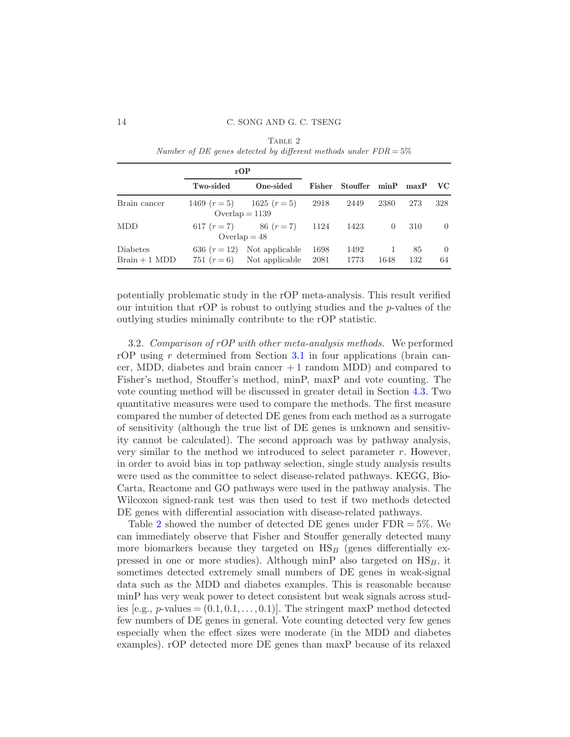TABLE 2 Number of DE genes detected by different methods under  $FDR = 5\%$ 

<span id="page-13-0"></span>

|                                     | rOP       |                                                           |              |               |          |           |                  |
|-------------------------------------|-----------|-----------------------------------------------------------|--------------|---------------|----------|-----------|------------------|
|                                     | Two-sided | One-sided                                                 | Fisher       | Stouffer minP |          | maxP      | VC.              |
| Brain cancer                        |           | 1469 $(r=5)$ 1625 $(r=5)$<br>$Overlap = 1139$             | 2918         | 2449          | 2380     | 273       | 328              |
| <b>MDD</b>                          |           | 617 $(r = 7)$ 86 $(r = 7)$<br>$Overlap = 48$              | 1124         | 1423          | $\Omega$ | 310       | $\left( \right)$ |
| Diabetes<br>$Brain + 1 \text{ MDD}$ |           | 636 $(r=12)$ Not applicable<br>751 $(r=6)$ Not applicable | 1698<br>2081 | 1492<br>1773  | 1648     | 85<br>132 | $\Omega$<br>64   |

potentially problematic study in the rOP meta-analysis. This result verified our intuition that rOP is robust to outlying studies and the p-values of the outlying studies minimally contribute to the rOP statistic.

3.2. Comparison of rOP with other meta-analysis methods. We performed rOP using r determined from Section [3.1](#page-11-0) in four applications (brain cancer, MDD, diabetes and brain cancer  $+1$  random MDD) and compared to Fisher's method, Stouffer's method, minP, maxP and vote counting. The vote counting method will be discussed in greater detail in Section [4.3.](#page-20-0) Two quantitative measures were used to compare the methods. The first measure compared the number of detected DE genes from each method as a surrogate of sensitivity (although the true list of DE genes is unknown and sensitivity cannot be calculated). The second approach was by pathway analysis, very similar to the method we introduced to select parameter  $r$ . However, in order to avoid bias in top pathway selection, single study analysis results were used as the committee to select disease-related pathways. KEGG, Bio-Carta, Reactome and GO pathways were used in the pathway analysis. The Wilcoxon signed-rank test was then used to test if two methods detected DE genes with differential association with disease-related pathways.

Table [2](#page-13-0) showed the number of detected DE genes under  $FDR = 5\%$ . We can immediately observe that Fisher and Stouffer generally detected many more biomarkers because they targeted on  $\text{HS}_B$  (genes differentially expressed in one or more studies). Although minP also targeted on  $\text{HS}_B$ , it sometimes detected extremely small numbers of DE genes in weak-signal data such as the MDD and diabetes examples. This is reasonable because minP has very weak power to detect consistent but weak signals across studies [e.g.,  $p$ -values =  $(0.1, 0.1, \ldots, 0.1)$ ]. The stringent maxP method detected few numbers of DE genes in general. Vote counting detected very few genes especially when the effect sizes were moderate (in the MDD and diabetes examples). rOP detected more DE genes than maxP because of its relaxed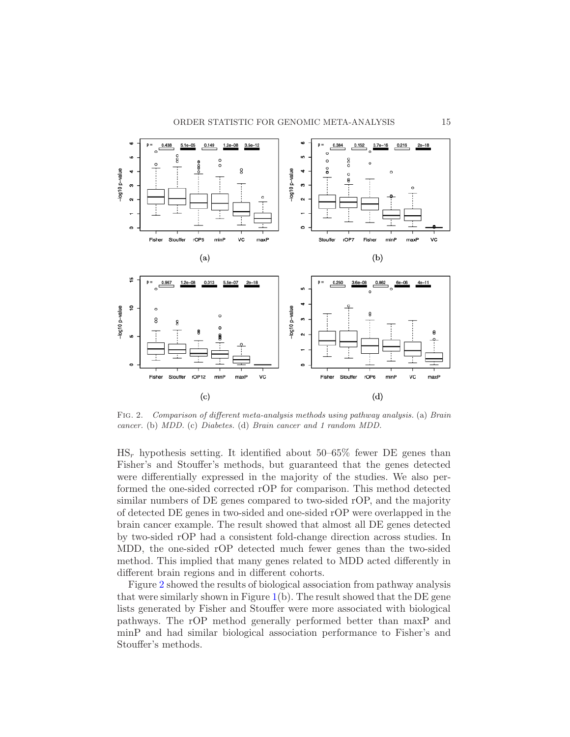

<span id="page-14-0"></span>Fig. 2. Comparison of different meta-analysis methods using pathway analysis. (a) Brain cancer. (b) MDD. (c) Diabetes. (d) Brain cancer and 1 random MDD.

 $\text{HS}_r$  hypothesis setting. It identified about 50–65% fewer DE genes than Fisher's and Stouffer's methods, but guaranteed that the genes detected were differentially expressed in the majority of the studies. We also performed the one-sided corrected rOP for comparison. This method detected similar numbers of DE genes compared to two-sided rOP, and the majority of detected DE genes in two-sided and one-sided rOP were overlapped in the brain cancer example. The result showed that almost all DE genes detected by two-sided rOP had a consistent fold-change direction across studies. In MDD, the one-sided rOP detected much fewer genes than the two-sided method. This implied that many genes related to MDD acted differently in different brain regions and in different cohorts.

Figure [2](#page-14-0) showed the results of biological association from pathway analysis that were similarly shown in Figure [1\(](#page-8-0)b). The result showed that the DE gene lists generated by Fisher and Stouffer were more associated with biological pathways. The rOP method generally performed better than maxP and minP and had similar biological association performance to Fisher's and Stouffer's methods.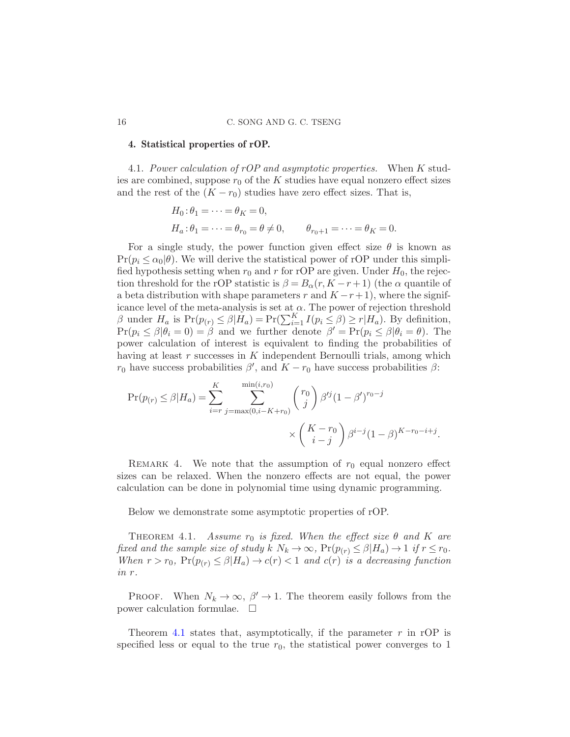#### 4. Statistical properties of rOP.

<span id="page-15-0"></span>4.1. Power calculation of rOP and asymptotic properties. When  $K$  studies are combined, suppose  $r_0$  of the K studies have equal nonzero effect sizes and the rest of the  $(K - r_0)$  studies have zero effect sizes. That is,

$$
H_0: \theta_1 = \dots = \theta_K = 0,
$$
  
\n $H_a: \theta_1 = \dots = \theta_{r_0} = \theta \neq 0, \qquad \theta_{r_0+1} = \dots = \theta_K = 0.$ 

For a single study, the power function given effect size  $\theta$  is known as  $Pr(p_i \leq \alpha_0 | \theta)$ . We will derive the statistical power of rOP under this simplified hypothesis setting when  $r_0$  and r for rOP are given. Under  $H_0$ , the rejection threshold for the rOP statistic is  $\beta = B_{\alpha}(r, K - r + 1)$  (the  $\alpha$  quantile of a beta distribution with shape parameters r and  $K - r + 1$ , where the significance level of the meta-analysis is set at  $\alpha$ . The power of rejection threshold β under  $H_a$  is  $Pr(p_{(r)} \leq \beta | H_a) = Pr(\sum_{i=1}^{K} I(p_i \leq \beta) \geq r | H_a)$ . By definition,  $\Pr(p_i \leq \beta | \theta_i = 0) = \beta$  and we further denote  $\beta' = \Pr(p_i \leq \beta | \theta_i = \theta)$ . The power calculation of interest is equivalent to finding the probabilities of having at least r successes in  $K$  independent Bernoulli trials, among which  $r_0$  have success probabilities  $\beta'$ , and  $K - r_0$  have success probabilities  $\beta$ :

$$
\Pr(p_{(r)} \le \beta | H_a) = \sum_{i=r}^{K} \sum_{j=\max(0,i-K+r_0)}^{\min(i,r_0)} \binom{r_0}{j} \beta'^j (1-\beta')^{r_0-j} \times \binom{K-r_0}{i-j} \beta^{i-j} (1-\beta)^{K-r_0-i+j}.
$$

REMARK 4. We note that the assumption of  $r_0$  equal nonzero effect sizes can be relaxed. When the nonzero effects are not equal, the power calculation can be done in polynomial time using dynamic programming.

<span id="page-15-1"></span>Below we demonstrate some asymptotic properties of rOP.

THEOREM 4.1. Assume  $r_0$  is fixed. When the effect size  $\theta$  and K are fixed and the sample size of study k  $N_k \to \infty$ ,  $Pr(p_{(r)} \leq \beta | H_a) \to 1$  if  $r \leq r_0$ . When  $r > r_0$ ,  $Pr(p_{(r)} \leq \beta | H_a) \rightarrow c(r) < 1$  and  $c(r)$  is a decreasing function in r.

PROOF. When  $N_k \to \infty$ ,  $\beta' \to 1$ . The theorem easily follows from the power calculation formulae.  $\square$ 

Theorem [4.1](#page-15-1) states that, asymptotically, if the parameter  $r$  in rOP is specified less or equal to the true  $r_0$ , the statistical power converges to 1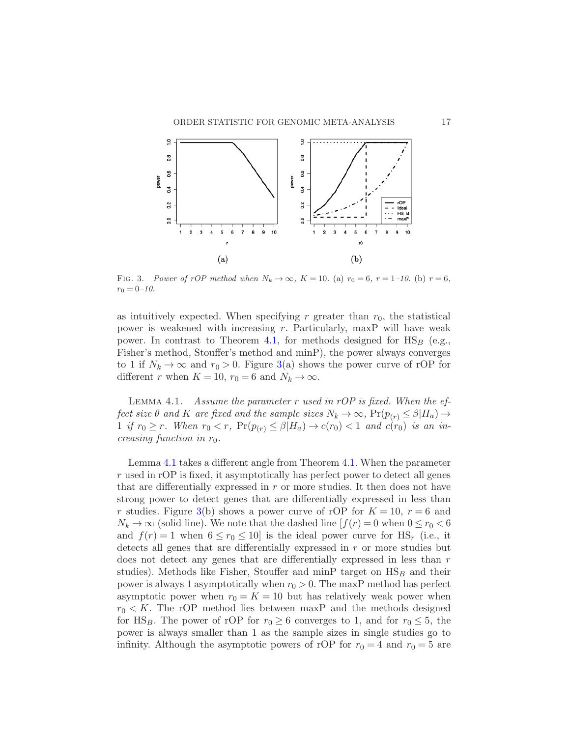

<span id="page-16-0"></span>FIG. 3. Power of rOP method when  $N_k \rightarrow \infty$ ,  $K = 10$ . (a)  $r_0 = 6$ ,  $r = 1-10$ . (b)  $r = 6$ ,  $r_0 = 0-10.$ 

as intuitively expected. When specifying  $r$  greater than  $r_0$ , the statistical power is weakened with increasing  $r$ . Particularly, maxP will have weak power. In contrast to Theorem [4.1,](#page-15-1) for methods designed for  $\text{HS}_B$  (e.g., Fisher's method, Stouffer's method and minP), the power always converges to 1 if  $N_k \to \infty$  and  $r_0 > 0$ . Figure [3\(](#page-16-0)a) shows the power curve of rOP for different r when  $K = 10$ ,  $r_0 = 6$  and  $N_k \to \infty$ .

<span id="page-16-1"></span>LEMMA 4.1. Assume the parameter  $r$  used in rOP is fixed. When the effect size  $\theta$  and K are fixed and the sample sizes  $N_k \to \infty$ ,  $Pr(p_{(r)} \leq \beta | H_a) \to$ 1 if  $r_0 \ge r$ . When  $r_0 < r$ ,  $Pr(p_{(r)} \le \beta | H_a) \rightarrow c(r_0) < 1$  and  $c(r_0)$  is an increasing function in  $r_0$ .

Lemma [4.1](#page-16-1) takes a different angle from Theorem [4.1.](#page-15-1) When the parameter  $r$  used in rOP is fixed, it asymptotically has perfect power to detect all genes that are differentially expressed in  $r$  or more studies. It then does not have strong power to detect genes that are differentially expressed in less than r studies. Figure [3\(](#page-16-0)b) shows a power curve of rOP for  $K = 10$ ,  $r = 6$  and  $N_k \to \infty$  (solid line). We note that the dashed line  $f(r) = 0$  when  $0 \le r_0 < 6$ and  $f(r) = 1$  when  $6 \le r_0 \le 10$  is the ideal power curve for HS<sub>r</sub> (i.e., it detects all genes that are differentially expressed in r or more studies but does not detect any genes that are differentially expressed in less than  $r$ studies). Methods like Fisher, Stouffer and minP target on  $\text{HS}_B$  and their power is always 1 asymptotically when  $r_0 > 0$ . The maxP method has perfect asymptotic power when  $r_0 = K = 10$  but has relatively weak power when  $r_0 < K$ . The rOP method lies between maxP and the methods designed for HS<sub>B</sub>. The power of rOP for  $r_0 \ge 6$  converges to 1, and for  $r_0 \le 5$ , the power is always smaller than 1 as the sample sizes in single studies go to infinity. Although the asymptotic powers of rOP for  $r_0 = 4$  and  $r_0 = 5$  are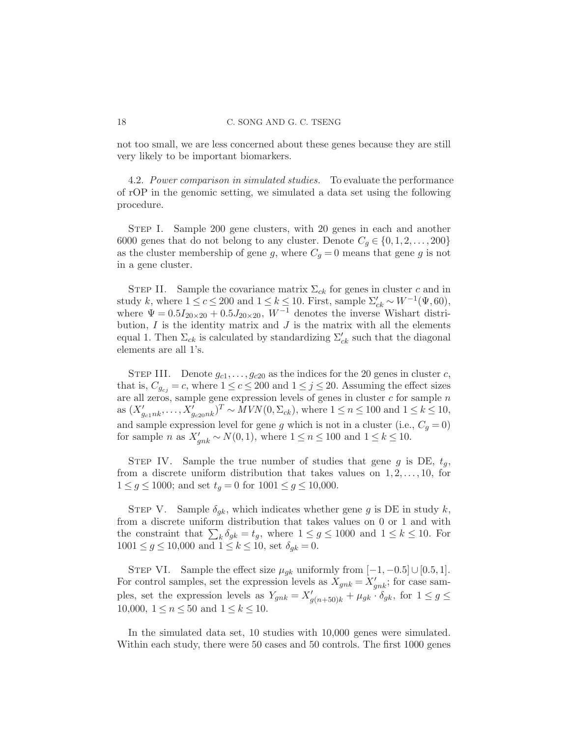not too small, we are less concerned about these genes because they are still very likely to be important biomarkers.

<span id="page-17-0"></span>4.2. Power comparison in simulated studies. To evaluate the performance of rOP in the genomic setting, we simulated a data set using the following procedure.

STEP I. Sample 200 gene clusters, with 20 genes in each and another 6000 genes that do not belong to any cluster. Denote  $C_q \in \{0, 1, 2, \ldots, 200\}$ as the cluster membership of gene g, where  $C_g = 0$  means that gene g is not in a gene cluster.

STEP II. Sample the covariance matrix  $\Sigma_{ck}$  for genes in cluster c and in study k, where  $1 \leq c \leq 200$  and  $1 \leq k \leq 10$ . First, sample  $\Sigma'_{ck} \sim W^{-1}(\Psi, 60)$ , where  $\Psi = 0.5I_{20\times20} + 0.5J_{20\times20}$ ,  $W^{-1}$  denotes the inverse Wishart distribution,  $I$  is the identity matrix and  $J$  is the matrix with all the elements equal 1. Then  $\Sigma_{ck}$  is calculated by standardizing  $\Sigma'_{ck}$  such that the diagonal elements are all 1's.

STEP III. Denote  $g_{c1}, \ldots, g_{c20}$  as the indices for the 20 genes in cluster c, that is,  $C_{g_{cj}} = c$ , where  $1 \leq c \leq 200$  and  $1 \leq j \leq 20$ . Assuming the effect sizes are all zeros, sample gene expression levels of genes in cluster  $c$  for sample  $n$ as  $(X'_{g_{c1}nk}, \ldots, X'_{g_{c20}nk})^T \sim MVN(0, \Sigma_{ck}),$  where  $1 \le n \le 100$  and  $1 \le k \le 10$ , and sample expression level for gene g which is not in a cluster (i.e.,  $C_g = 0$ ) for sample n as  $X'_{gnk} \sim N(0, 1)$ , where  $1 \le n \le 100$  and  $1 \le k \le 10$ .

STEP IV. Sample the true number of studies that gene g is DE,  $t_q$ , from a discrete uniform distribution that takes values on  $1, 2, \ldots, 10$ , for  $1 \le g \le 1000$ ; and set  $t_g = 0$  for  $1001 \le g \le 10,000$ .

STEP V. Sample  $\delta_{ak}$ , which indicates whether gene g is DE in study k, from a discrete uniform distribution that takes values on 0 or 1 and with the constraint that  $\sum_{k} \delta_{g_k} = t_g$ , where  $1 \le g \le 1000$  and  $1 \le k \le 10$ . For  $1001\leq g\leq 10{,}000$  and  $1\leq k\leq 10,$  set  $\delta_{gk}=0.$ 

STEP VI. Sample the effect size  $\mu_{gk}$  uniformly from  $[-1, -0.5] \cup [0.5, 1]$ . For control samples, set the expression levels as  $X_{gnk} = X'_{gnk}$ ; for case samples, set the expression levels as  $Y_{gnk} = X'_{g(n+50)k} + \mu_{gk} \cdot \delta_{gk}$ , for  $1 \le g \le$ 10,000,  $1 \le n \le 50$  and  $1 \le k \le 10$ .

In the simulated data set, 10 studies with 10,000 genes were simulated. Within each study, there were 50 cases and 50 controls. The first 1000 genes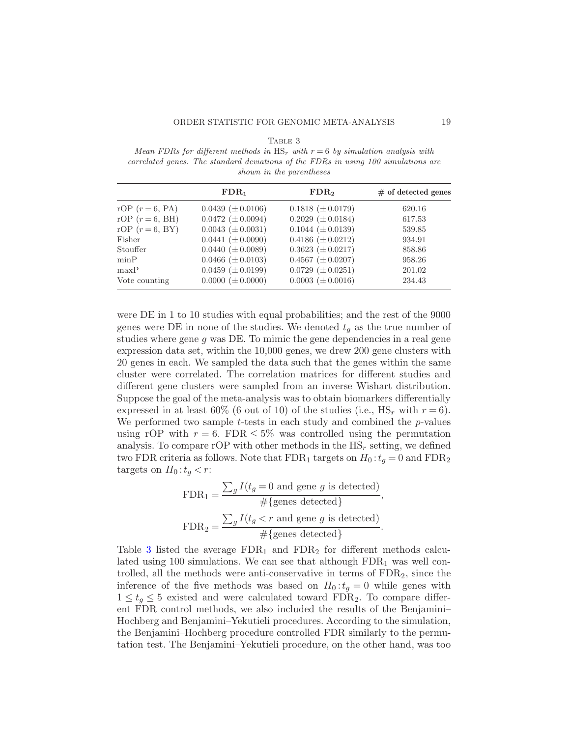<span id="page-18-0"></span>Table 3 Mean FDRs for different methods in  $\text{HS}_r$  with  $r = 6$  by simulation analysis with correlated genes. The standard deviations of the FDRs in using 100 simulations are shown in the parentheses

|                         | FDR <sub>1</sub>        | FDR <sub>2</sub>        | $#$ of detected genes |
|-------------------------|-------------------------|-------------------------|-----------------------|
| rOP $(r=6, PA)$         | $0.0439 \ (\pm 0.0106)$ | $0.1818 \ (\pm 0.0179)$ | 620.16                |
| rOP $(r=6, \text{ BH})$ | $0.0472 \ (\pm 0.0094)$ | $0.2029 \ (\pm 0.0184)$ | 617.53                |
| rOP $(r=6, BY)$         | $0.0043 \ (\pm 0.0031)$ | $0.1044 \ (\pm 0.0139)$ | 539.85                |
| Fisher                  | $0.0441 \ (\pm 0.0090)$ | $0.4186 \ (\pm 0.0212)$ | 934.91                |
| Stouffer                | $0.0440 \ (\pm 0.0089)$ | $0.3623 \ (\pm 0.0217)$ | 858.86                |
| minP                    | $0.0466 \ (\pm 0.0103)$ | $0.4567 \ (\pm 0.0207)$ | 958.26                |
| maxP                    | $0.0459 \ (\pm 0.0199)$ | $0.0729 \ (\pm 0.0251)$ | 201.02                |
| Vote counting           | $0.0000 \ (\pm 0.0000)$ | $0.0003 \ (\pm 0.0016)$ | 234.43                |

were DE in 1 to 10 studies with equal probabilities; and the rest of the 9000 genes were DE in none of the studies. We denoted  $t<sub>q</sub>$  as the true number of studies where gene  $g$  was DE. To mimic the gene dependencies in a real gene expression data set, within the 10,000 genes, we drew 200 gene clusters with 20 genes in each. We sampled the data such that the genes within the same cluster were correlated. The correlation matrices for different studies and different gene clusters were sampled from an inverse Wishart distribution. Suppose the goal of the meta-analysis was to obtain biomarkers differentially expressed in at least 60% (6 out of 10) of the studies (i.e.,  $\text{HS}_r$  with  $r = 6$ ). We performed two sample t-tests in each study and combined the  $p$ -values using rOP with  $r = 6$ . FDR  $\leq 5\%$  was controlled using the permutation analysis. To compare rOP with other methods in the  $\text{HS}_r$  setting, we defined two FDR criteria as follows. Note that  $FDR_1$  targets on  $H_0: t_g = 0$  and  $FDR_2$ targets on  $H_0: t_g < r$ :

$$
\text{FDR}_1 = \frac{\sum_g I(t_g = 0 \text{ and gene } g \text{ is detected})}{\#\{\text{genes detected}\}},
$$

$$
\text{FDR}_2 = \frac{\sum_g I(t_g < r \text{ and gene } g \text{ is detected})}{\#\{\text{genes detected}\}}.
$$

Table [3](#page-18-0) listed the average  $FDR_1$  and  $FDR_2$  for different methods calculated using 100 simulations. We can see that although  $FDR<sub>1</sub>$  was well controlled, all the methods were anti-conservative in terms of  $FDR<sub>2</sub>$ , since the inference of the five methods was based on  $H_0 : t_g = 0$  while genes with  $1 \leq t_q \leq 5$  existed and were calculated toward FDR<sub>2</sub>. To compare different FDR control methods, we also included the results of the Benjamini– Hochberg and Benjamini–Yekutieli procedures. According to the simulation, the Benjamini–Hochberg procedure controlled FDR similarly to the permutation test. The Benjamini–Yekutieli procedure, on the other hand, was too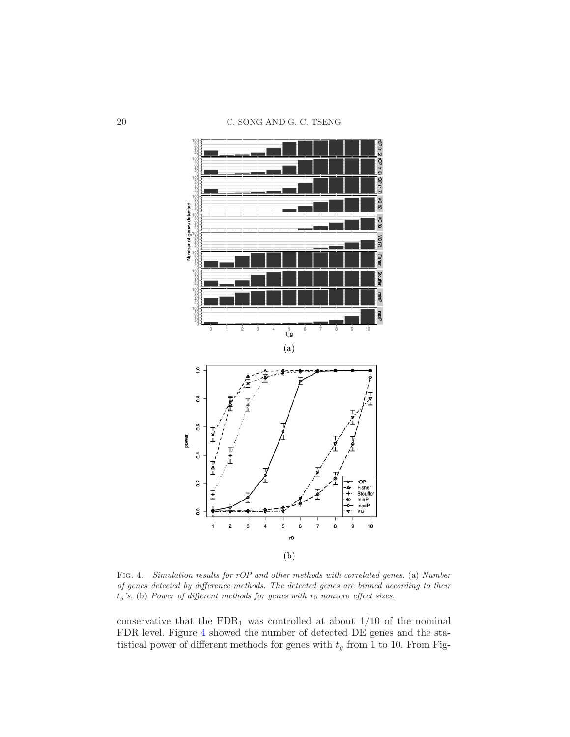

<span id="page-19-0"></span>Fig. 4. Simulation results for rOP and other methods with correlated genes. (a) Number of genes detected by difference methods. The detected genes are binned according to their  $t_g$ 's. (b) Power of different methods for genes with  $r_0$  nonzero effect sizes.

conservative that the  $FDR<sub>1</sub>$  was controlled at about  $1/10$  of the nominal FDR level. Figure [4](#page-19-0) showed the number of detected DE genes and the statistical power of different methods for genes with  $t_g$  from 1 to 10. From Fig-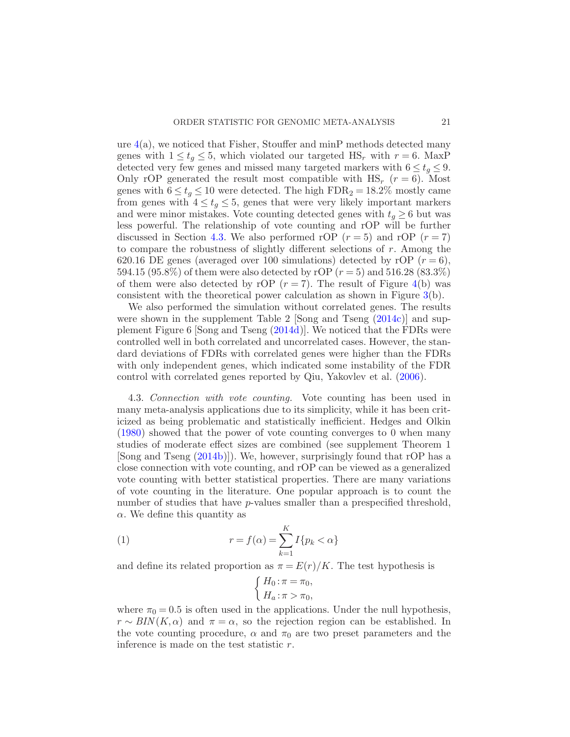ure  $4(a)$  $4(a)$ , we noticed that Fisher, Stouffer and minP methods detected many genes with  $1 \le t_q \le 5$ , which violated our targeted HS<sub>r</sub> with  $r = 6$ . MaxP detected very few genes and missed many targeted markers with  $6 \le t_q \le 9$ . Only rOP generated the result most compatible with  $\text{HS}_r$  ( $r = 6$ ). Most genes with  $6 \le t_g \le 10$  were detected. The high FDR<sub>2</sub> = 18.2% mostly came from genes with  $4 \le t_g \le 5$ , genes that were very likely important markers and were minor mistakes. Vote counting detected genes with  $t_g \geq 6$  but was less powerful. The relationship of vote counting and rOP will be further discussed in Section [4.3.](#page-20-0) We also performed rOP  $(r = 5)$  and rOP  $(r = 7)$ to compare the robustness of slightly different selections of  $r$ . Among the 620.16 DE genes (averaged over 100 simulations) detected by rOP  $(r = 6)$ , 594.15 (95.8%) of them were also detected by rOP ( $r = 5$ ) and 516.28 (83.3%) of them were also detected by rOP  $(r = 7)$ . The result of Figure [4\(](#page-19-0)b) was consistent with the theoretical power calculation as shown in Figure [3\(](#page-16-0)b).

We also performed the simulation without correlated genes. The results were shown in the supplement Table 2 [Song and Tseng  $(2014c)$ ] and supplement Figure 6 [Song and Tseng [\(2014d](#page-24-9))]. We noticed that the FDRs were controlled well in both correlated and uncorrelated cases. However, the standard deviations of FDRs with correlated genes were higher than the FDRs with only independent genes, which indicated some instability of the FDR control with correlated genes reported by Qiu, Yakovlev et al. [\(2006](#page-24-17)).

<span id="page-20-0"></span>4.3. Connection with vote counting. Vote counting has been used in many meta-analysis applications due to its simplicity, while it has been criticized as being problematic and statistically inefficient. Hedges and Olkin [\(1980\)](#page-24-18) showed that the power of vote counting converges to 0 when many studies of moderate effect sizes are combined (see supplement Theorem 1 [Song and Tseng [\(2014b](#page-24-19))]). We, however, surprisingly found that rOP has a close connection with vote counting, and rOP can be viewed as a generalized vote counting with better statistical properties. There are many variations of vote counting in the literature. One popular approach is to count the number of studies that have *p*-values smaller than a prespecified threshold,  $\alpha$ . We define this quantity as

(1) 
$$
r = f(\alpha) = \sum_{k=1}^{K} I\{p_k < \alpha\}
$$

and define its related proportion as  $\pi = E(r)/K$ . The test hypothesis is

<span id="page-20-1"></span>
$$
\begin{cases} H_0: \pi = \pi_0, \\ H_a: \pi > \pi_0, \end{cases}
$$

where  $\pi_0 = 0.5$  is often used in the applications. Under the null hypothesis,  $r \sim BIN(K, \alpha)$  and  $\pi = \alpha$ , so the rejection region can be established. In the vote counting procedure,  $\alpha$  and  $\pi_0$  are two preset parameters and the inference is made on the test statistic r.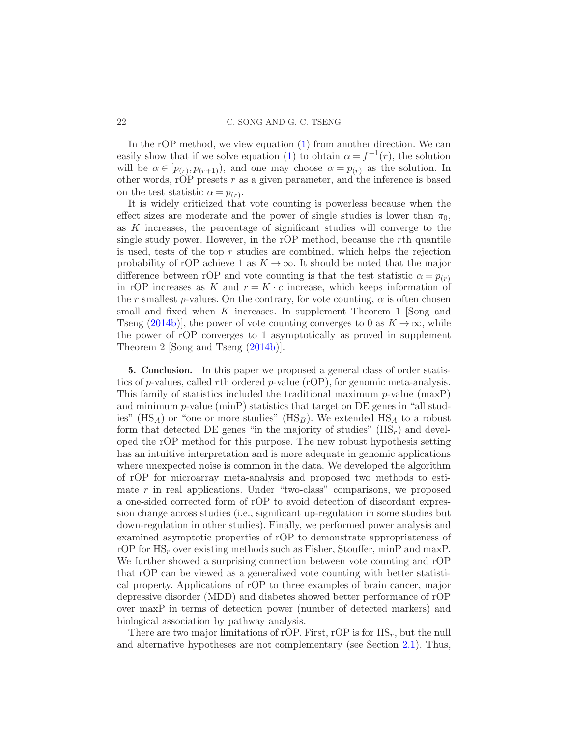In the rOP method, we view equation [\(1\)](#page-20-1) from another direction. We can easily show that if we solve equation [\(1\)](#page-20-1) to obtain  $\alpha = f^{-1}(r)$ , the solution will be  $\alpha \in [p_{(r)}, p_{(r+1)})$ , and one may choose  $\alpha = p_{(r)}$  as the solution. In other words, rOP presets  $r$  as a given parameter, and the inference is based on the test statistic  $\alpha = p_{(r)}$ .

It is widely criticized that vote counting is powerless because when the effect sizes are moderate and the power of single studies is lower than  $\pi_0$ , as K increases, the percentage of significant studies will converge to the single study power. However, in the rOP method, because the rth quantile is used, tests of the top r studies are combined, which helps the rejection probability of rOP achieve 1 as  $K \to \infty$ . It should be noted that the major difference between rOP and vote counting is that the test statistic  $\alpha = p_{(r)}$ in rOP increases as K and  $r = K \cdot c$  increase, which keeps information of the r smallest p-values. On the contrary, for vote counting,  $\alpha$  is often chosen small and fixed when K increases. In supplement Theorem 1 [Song and Tseng [\(2014b\)](#page-24-19)], the power of vote counting converges to 0 as  $K \to \infty$ , while the power of rOP converges to 1 asymptotically as proved in supplement Theorem 2 [Song and Tseng [\(2014b](#page-24-19))].

<span id="page-21-0"></span>5. Conclusion. In this paper we proposed a general class of order statistics of p-values, called rth ordered p-value  $(roP)$ , for genomic meta-analysis. This family of statistics included the traditional maximum  $p$ -value (maxP) and minimum  $p$ -value (minP) statistics that target on DE genes in "all studies" (HS<sub>A</sub>) or "one or more studies" (HS<sub>B</sub>). We extended HS<sub>A</sub> to a robust form that detected DE genes "in the majority of studies"  $(HS_r)$  and developed the rOP method for this purpose. The new robust hypothesis setting has an intuitive interpretation and is more adequate in genomic applications where unexpected noise is common in the data. We developed the algorithm of rOP for microarray meta-analysis and proposed two methods to estimate  $r$  in real applications. Under "two-class" comparisons, we proposed a one-sided corrected form of rOP to avoid detection of discordant expression change across studies (i.e., significant up-regulation in some studies but down-regulation in other studies). Finally, we performed power analysis and examined asymptotic properties of rOP to demonstrate appropriateness of rOP for  $\rm HS_r$  over existing methods such as Fisher, Stouffer, minP and maxP. We further showed a surprising connection between vote counting and rOP that rOP can be viewed as a generalized vote counting with better statistical property. Applications of rOP to three examples of brain cancer, major depressive disorder (MDD) and diabetes showed better performance of rOP over maxP in terms of detection power (number of detected markers) and biological association by pathway analysis.

There are two major limitations of rOP. First, rOP is for  $\text{HS}_r$ , but the null and alternative hypotheses are not complementary (see Section [2.1\)](#page-2-0). Thus,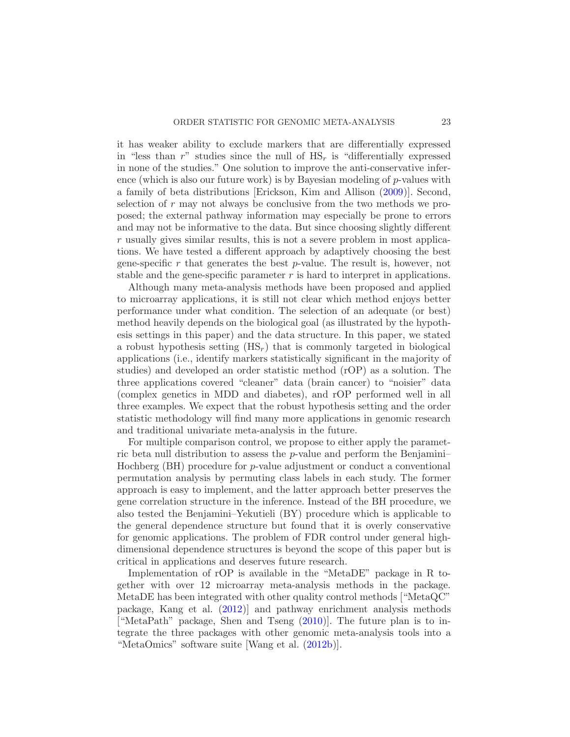it has weaker ability to exclude markers that are differentially expressed in "less than  $r$ " studies since the null of  $\text{HS}_r$  is "differentially expressed in none of the studies." One solution to improve the anti-conservative inference (which is also our future work) is by Bayesian modeling of  $p$ -values with a family of beta distributions [Erickson, Kim and Allison [\(2009](#page-24-6))]. Second, selection of  $r$  may not always be conclusive from the two methods we proposed; the external pathway information may especially be prone to errors and may not be informative to the data. But since choosing slightly different  $r$  usually gives similar results, this is not a severe problem in most applications. We have tested a different approach by adaptively choosing the best gene-specific  $r$  that generates the best  $p$ -value. The result is, however, not stable and the gene-specific parameter  $r$  is hard to interpret in applications.

Although many meta-analysis methods have been proposed and applied to microarray applications, it is still not clear which method enjoys better performance under what condition. The selection of an adequate (or best) method heavily depends on the biological goal (as illustrated by the hypothesis settings in this paper) and the data structure. In this paper, we stated a robust hypothesis setting  $(HS_r)$  that is commonly targeted in biological applications (i.e., identify markers statistically significant in the majority of studies) and developed an order statistic method (rOP) as a solution. The three applications covered "cleaner" data (brain cancer) to "noisier" data (complex genetics in MDD and diabetes), and rOP performed well in all three examples. We expect that the robust hypothesis setting and the order statistic methodology will find many more applications in genomic research and traditional univariate meta-analysis in the future.

For multiple comparison control, we propose to either apply the parametric beta null distribution to assess the  $p$ -value and perform the Benjamini– Hochberg (BH) procedure for p-value adjustment or conduct a conventional permutation analysis by permuting class labels in each study. The former approach is easy to implement, and the latter approach better preserves the gene correlation structure in the inference. Instead of the BH procedure, we also tested the Benjamini–Yekutieli (BY) procedure which is applicable to the general dependence structure but found that it is overly conservative for genomic applications. The problem of FDR control under general highdimensional dependence structures is beyond the scope of this paper but is critical in applications and deserves future research.

Implementation of rOP is available in the "MetaDE" package in R together with over 12 microarray meta-analysis methods in the package. MetaDE has been integrated with other quality control methods ["MetaQC" package, Kang et al. [\(2012](#page-24-16))] and pathway enrichment analysis methods ["MetaPath" package, Shen and Tseng [\(2010\)](#page-24-20)]. The future plan is to integrate the three packages with other genomic meta-analysis tools into a "MetaOmics" software suite [Wang et al. [\(2012b](#page-25-4))].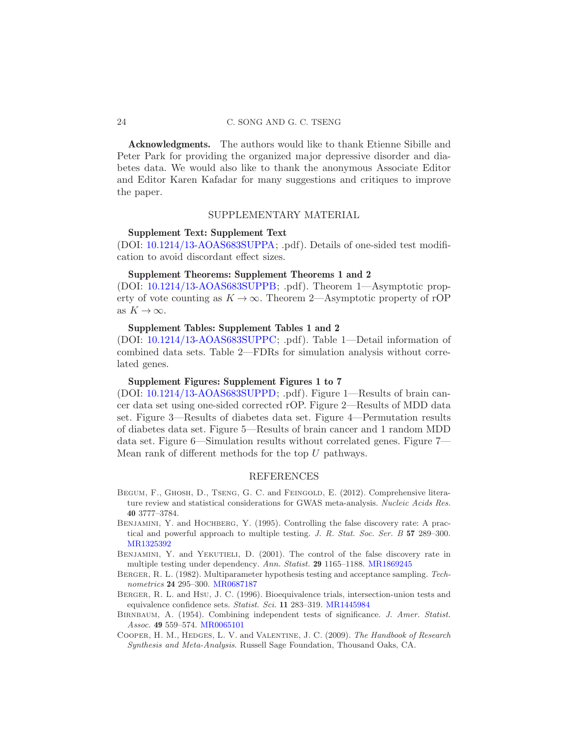Acknowledgments. The authors would like to thank Etienne Sibille and Peter Park for providing the organized major depressive disorder and diabetes data. We would also like to thank the anonymous Associate Editor and Editor Karen Kafadar for many suggestions and critiques to improve the paper.

### SUPPLEMENTARY MATERIAL

#### Supplement Text: Supplement Text

(DOI: [10.1214/13-AOAS683SUPPA;](http://dx.doi.org/10.1214/13-AOAS683SUPPA) .pdf). Details of one-sided test modification to avoid discordant effect sizes.

#### Supplement Theorems: Supplement Theorems 1 and 2

(DOI: [10.1214/13-AOAS683SUPPB;](http://dx.doi.org/10.1214/13-AOAS683SUPPB) .pdf). Theorem 1—Asymptotic property of vote counting as  $K \to \infty$ . Theorem 2—Asymptotic property of rOP as  $K \to \infty$ .

# Supplement Tables: Supplement Tables 1 and 2

(DOI: [10.1214/13-AOAS683SUPPC;](http://dx.doi.org/10.1214/13-AOAS683SUPPC) .pdf). Table 1—Detail information of combined data sets. Table 2—FDRs for simulation analysis without correlated genes.

#### Supplement Figures: Supplement Figures 1 to 7

(DOI: [10.1214/13-AOAS683SUPPD;](http://dx.doi.org/10.1214/13-AOAS683SUPPD) .pdf). Figure 1—Results of brain cancer data set using one-sided corrected rOP. Figure 2—Results of MDD data set. Figure 3—Results of diabetes data set. Figure 4—Permutation results of diabetes data set. Figure 5—Results of brain cancer and 1 random MDD data set. Figure 6—Simulation results without correlated genes. Figure 7— Mean rank of different methods for the top  $U$  pathways.

### REFERENCES

- <span id="page-23-0"></span>BEGUM, F., GHOSH, D., TSENG, G. C. and FEINGOLD, E. (2012). Comprehensive literature review and statistical considerations for GWAS meta-analysis. Nucleic Acids Res. 40 3777–3784.
- <span id="page-23-5"></span>Benjamini, Y. and Hochberg, Y. (1995). Controlling the false discovery rate: A practical and powerful approach to multiple testing. J. R. Stat. Soc. Ser. B 57 289–300. [MR1325392](http://www.ams.org/mathscinet-getitem?mr=1325392)
- <span id="page-23-6"></span>BENJAMINI, Y. and YEKUTIELI, D. (2001). The control of the false discovery rate in multiple testing under dependency. Ann. Statist. 29 1165–1188. [MR1869245](http://www.ams.org/mathscinet-getitem?mr=1869245)
- <span id="page-23-3"></span>Berger, R. L. (1982). Multiparameter hypothesis testing and acceptance sampling. Technometrics 24 295–300. [MR0687187](http://www.ams.org/mathscinet-getitem?mr=0687187)
- <span id="page-23-4"></span>Berger, R. L. and Hsu, J. C. (1996). Bioequivalence trials, intersection-union tests and equivalence confidence sets. Statist. Sci. 11 283–319. [MR1445984](http://www.ams.org/mathscinet-getitem?mr=1445984)
- <span id="page-23-2"></span>BIRNBAUM, A. (1954). Combining independent tests of significance. J. Amer. Statist. Assoc. 49 559–574. [MR0065101](http://www.ams.org/mathscinet-getitem?mr=0065101)
- <span id="page-23-1"></span>COOPER, H. M., HEDGES, L. V. and VALENTINE, J. C. (2009). The Handbook of Research Synthesis and Meta-Analysis. Russell Sage Foundation, Thousand Oaks, CA.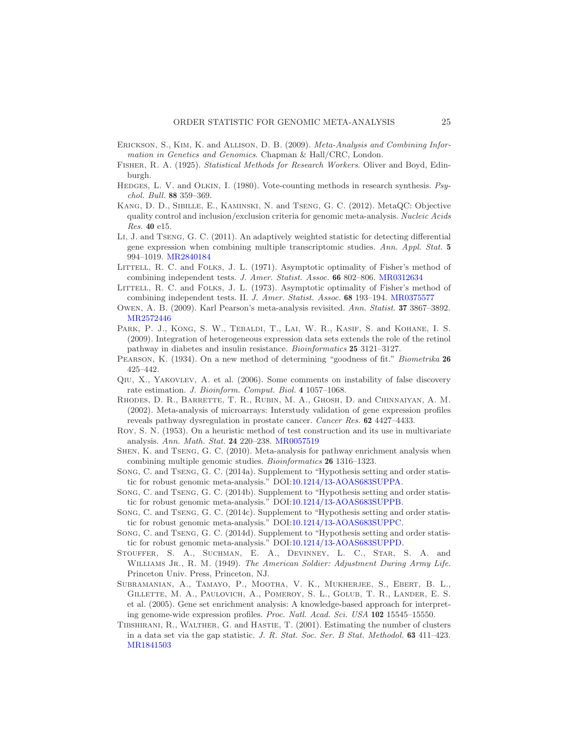- <span id="page-24-6"></span>Erickson, S., Kim, K. and Allison, D. B. (2009). Meta-Analysis and Combining Information in Genetics and Genomics. Chapman & Hall/CRC, London.
- <span id="page-24-7"></span>Fisher, R. A. (1925). Statistical Methods for Research Workers. Oliver and Boyd, Edinburgh.
- <span id="page-24-18"></span>HEDGES, L. V. and OLKIN, I. (1980). Vote-counting methods in research synthesis. Psychol. Bull. 88 359–369.
- <span id="page-24-16"></span>Kang, D. D., Sibille, E., Kaminski, N. and Tseng, G. C. (2012). MetaQC: Objective quality control and inclusion/exclusion criteria for genomic meta-analysis. Nucleic Acids Res. 40 e15.
- <span id="page-24-4"></span>Li, J. and Tseng, G. C. (2011). An adaptively weighted statistic for detecting differential gene expression when combining multiple transcriptomic studies. Ann. Appl. Stat. 5 994–1019. [MR2840184](http://www.ams.org/mathscinet-getitem?mr=2840184)
- <span id="page-24-0"></span>LITTELL, R. C. and FOLKS, J. L. (1971). Asymptotic optimality of Fisher's method of combining independent tests. J. Amer. Statist. Assoc. 66 802–806. [MR0312634](http://www.ams.org/mathscinet-getitem?mr=0312634)
- <span id="page-24-1"></span>LITTELL, R. C. and FOLKS, J. L. (1973). Asymptotic optimality of Fisher's method of combining independent tests. II. J. Amer. Statist. Assoc. 68 193–194. [MR0375577](http://www.ams.org/mathscinet-getitem?mr=0375577)
- <span id="page-24-10"></span>Owen, A. B. (2009). Karl Pearson's meta-analysis revisited. Ann. Statist. 37 3867–3892. [MR2572446](http://www.ams.org/mathscinet-getitem?mr=2572446)
- <span id="page-24-14"></span>PARK, P. J., KONG, S. W., TEBALDI, T., LAI, W. R., KASIF, S. and KOHANE, I. S. (2009). Integration of heterogeneous expression data sets extends the role of the retinol pathway in diabetes and insulin resistance. Bioinformatics 25 3121–3127.
- <span id="page-24-11"></span>PEARSON, K. (1934). On a new method of determining "goodness of fit." Biometrika 26 425–442.
- <span id="page-24-17"></span>Qiu, X., Yakovlev, A. et al. (2006). Some comments on instability of false discovery rate estimation. J. Bioinform. Comput. Biol. 4 1057–1068.
- <span id="page-24-2"></span>Rhodes, D. R., Barrette, T. R., Rubin, M. A., Ghosh, D. and Chinnaiyan, A. M. (2002). Meta-analysis of microarrays: Interstudy validation of gene expression profiles reveals pathway dysregulation in prostate cancer. Cancer Res. 62 4427–4433.
- <span id="page-24-5"></span>Roy, S. N. (1953). On a heuristic method of test construction and its use in multivariate analysis. Ann. Math. Stat. 24 220–238. [MR0057519](http://www.ams.org/mathscinet-getitem?mr=0057519)
- <span id="page-24-20"></span>Shen, K. and Tseng, G. C. (2010). Meta-analysis for pathway enrichment analysis when combining multiple genomic studies. Bioinformatics 26 1316–1323.
- <span id="page-24-12"></span>Song, C. and Tseng, G. C. (2014a). Supplement to "Hypothesis setting and order statistic for robust genomic meta-analysis." DOI[:10.1214/13-AOAS683SUPPA.](http://dx.doi.org/10.1214/13-AOAS683SUPPA)
- <span id="page-24-19"></span>Song, C. and Tseng, G. C. (2014b). Supplement to "Hypothesis setting and order statistic for robust genomic meta-analysis." DOI[:10.1214/13-AOAS683SUPPB.](http://dx.doi.org/10.1214/13-AOAS683SUPPB)
- <span id="page-24-13"></span>Song, C. and Tseng, G. C. (2014c). Supplement to "Hypothesis setting and order statistic for robust genomic meta-analysis." DOI[:10.1214/13-AOAS683SUPPC.](http://dx.doi.org/10.1214/13-AOAS683SUPPC)
- <span id="page-24-9"></span>Song, C. and Tseng, G. C. (2014d). Supplement to "Hypothesis setting and order statistic for robust genomic meta-analysis." DOI[:10.1214/13-AOAS683SUPPD.](http://dx.doi.org/10.1214/13-AOAS683SUPPD)
- <span id="page-24-3"></span>Stouffer, S. A., Suchman, E. A., Devinney, L. C., Star, S. A. and WILLIAMS JR., R. M. (1949). The American Soldier: Adjustment During Army Life. Princeton Univ. Press, Princeton, NJ.
- <span id="page-24-15"></span>Subramanian, A., Tamayo, P., Mootha, V. K., Mukherjee, S., Ebert, B. L., Gillette, M. A., Paulovich, A., Pomeroy, S. L., Golub, T. R., Lander, E. S. et al. (2005). Gene set enrichment analysis: A knowledge-based approach for interpreting genome-wide expression profiles. Proc. Natl. Acad. Sci. USA 102 15545–15550.
- <span id="page-24-8"></span>Tibshirani, R., Walther, G. and Hastie, T. (2001). Estimating the number of clusters in a data set via the gap statistic. J. R. Stat. Soc. Ser. B Stat. Methodol. 63 411–423. [MR1841503](http://www.ams.org/mathscinet-getitem?mr=1841503)